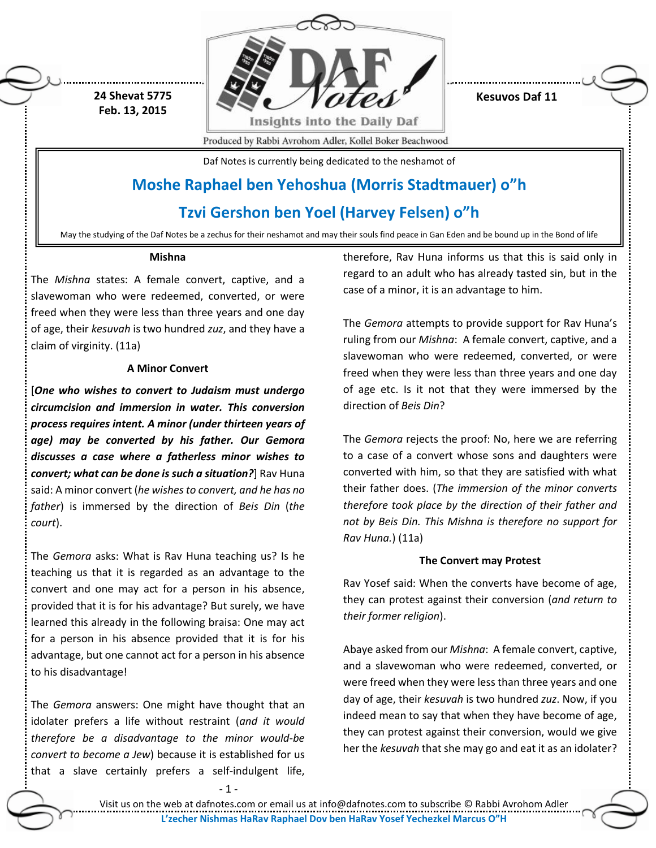

**Kesuvos Daf 11**

Produced by Rabbi Avrohom Adler, Kollel Boker Beachwood

Daf Notes is currently being dedicated to the neshamot of

## **Moshe Raphael ben Yehoshua (Morris Stadtmauer) o"h**

### **Tzvi Gershon ben Yoel (Harvey Felsen) o"h**

May the studying of the Daf Notes be a zechus for their neshamot and may their souls find peace in Gan Eden and be bound up in the Bond of life

#### **Mishna**

**24 Shevat 5775 Feb. 13, 2015**

The *Mishna* states: A female convert, captive, and a slavewoman who were redeemed, converted, or were freed when they were less than three years and one day of age, their *kesuvah* is two hundred *zuz*, and they have a claim of virginity. (11a)

#### **A Minor Convert**

[*One who wishes to convert to Judaism must undergo circumcision and immersion in water. This conversion process requires intent. A minor (under thirteen years of age) may be converted by his father. Our Gemora discusses a case where a fatherless minor wishes to convert; what can be done is such a situation?*] Rav Huna said: A minor convert (*he wishes to convert, and he has no father*) is immersed by the direction of *Beis Din* (*the court*).

The *Gemora* asks: What is Rav Huna teaching us? Is he teaching us that it is regarded as an advantage to the convert and one may act for a person in his absence, provided that it is for his advantage? But surely, we have learned this already in the following braisa: One may act for a person in his absence provided that it is for his advantage, but one cannot act for a person in his absence to his disadvantage!

The *Gemora* answers: One might have thought that an idolater prefers a life without restraint (*and it would therefore be a disadvantage to the minor would-be convert to become a Jew*) because it is established for us that a slave certainly prefers a self-indulgent life,

therefore, Rav Huna informs us that this is said only in regard to an adult who has already tasted sin, but in the case of a minor, it is an advantage to him.

The *Gemora* attempts to provide support for Rav Huna's ruling from our *Mishna*: A female convert, captive, and a slavewoman who were redeemed, converted, or were freed when they were less than three years and one day of age etc. Is it not that they were immersed by the direction of *Beis Din*?

The *Gemora* rejects the proof: No, here we are referring to a case of a convert whose sons and daughters were converted with him, so that they are satisfied with what their father does. (*The immersion of the minor converts therefore took place by the direction of their father and not by Beis Din. This Mishna is therefore no support for Rav Huna.*) (11a)

#### **The Convert may Protest**

Rav Yosef said: When the converts have become of age, they can protest against their conversion (*and return to their former religion*).

Abaye asked from our *Mishna*: A female convert, captive, and a slavewoman who were redeemed, converted, or were freed when they were less than three years and one day of age, their *kesuvah* is two hundred *zuz*. Now, if you indeed mean to say that when they have become of age, they can protest against their conversion, would we give her the *kesuvah* that she may go and eat it as an idolater?

 $-1 -$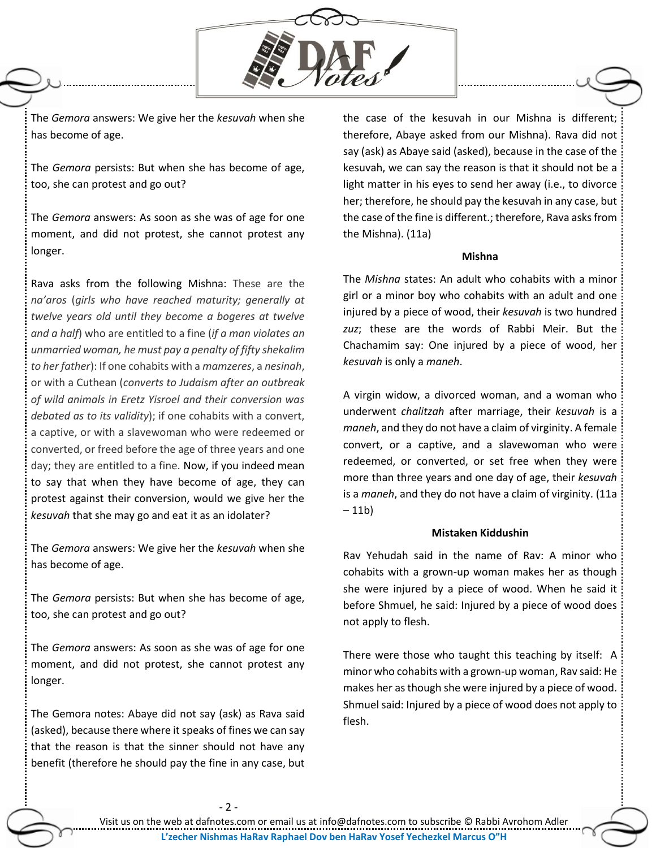

The *Gemora* answers: We give her the *kesuvah* when she has become of age.

The *Gemora* persists: But when she has become of age, too, she can protest and go out?

The *Gemora* answers: As soon as she was of age for one moment, and did not protest, she cannot protest any longer.

Rava asks from the following Mishna: These are the *na'aros* (*girls who have reached maturity; generally at twelve years old until they become a bogeres at twelve and a half*) who are entitled to a fine (*if a man violates an unmarried woman, he must pay a penalty of fifty shekalim to her father*): If one cohabits with a *mamzeres*, a *nesinah*, or with a Cuthean (*converts to Judaism after an outbreak of wild animals in Eretz Yisroel and their conversion was debated as to its validity*); if one cohabits with a convert, a captive, or with a slavewoman who were redeemed or converted, or freed before the age of three years and one day; they are entitled to a fine. Now, if you indeed mean to say that when they have become of age, they can protest against their conversion, would we give her the *kesuvah* that she may go and eat it as an idolater?

The *Gemora* answers: We give her the *kesuvah* when she has become of age.

The *Gemora* persists: But when she has become of age, too, she can protest and go out?

The *Gemora* answers: As soon as she was of age for one moment, and did not protest, she cannot protest any longer.

The Gemora notes: Abaye did not say (ask) as Rava said (asked), because there where it speaks of fines we can say that the reason is that the sinner should not have any benefit (therefore he should pay the fine in any case, but

the case of the kesuvah in our Mishna is different; therefore, Abaye asked from our Mishna). Rava did not say (ask) as Abaye said (asked), because in the case of the kesuvah, we can say the reason is that it should not be a light matter in his eyes to send her away (i.e., to divorce her; therefore, he should pay the kesuvah in any case, but the case of the fine is different.; therefore, Rava asks from the Mishna). (11a)

#### **Mishna**

The *Mishna* states: An adult who cohabits with a minor girl or a minor boy who cohabits with an adult and one injured by a piece of wood, their *kesuvah* is two hundred *zuz*; these are the words of Rabbi Meir. But the Chachamim say: One injured by a piece of wood, her *kesuvah* is only a *maneh*.

A virgin widow, a divorced woman, and a woman who underwent *chalitzah* after marriage, their *kesuvah* is a *maneh*, and they do not have a claim of virginity. A female convert, or a captive, and a slavewoman who were redeemed, or converted, or set free when they were more than three years and one day of age, their *kesuvah* is a *maneh*, and they do not have a claim of virginity. (11a – 11b)

#### **Mistaken Kiddushin**

Rav Yehudah said in the name of Rav: A minor who cohabits with a grown-up woman makes her as though she were injured by a piece of wood. When he said it before Shmuel, he said: Injured by a piece of wood does not apply to flesh.

There were those who taught this teaching by itself: A minor who cohabits with a grown-up woman, Rav said: He makes her as though she were injured by a piece of wood. Shmuel said: Injured by a piece of wood does not apply to flesh.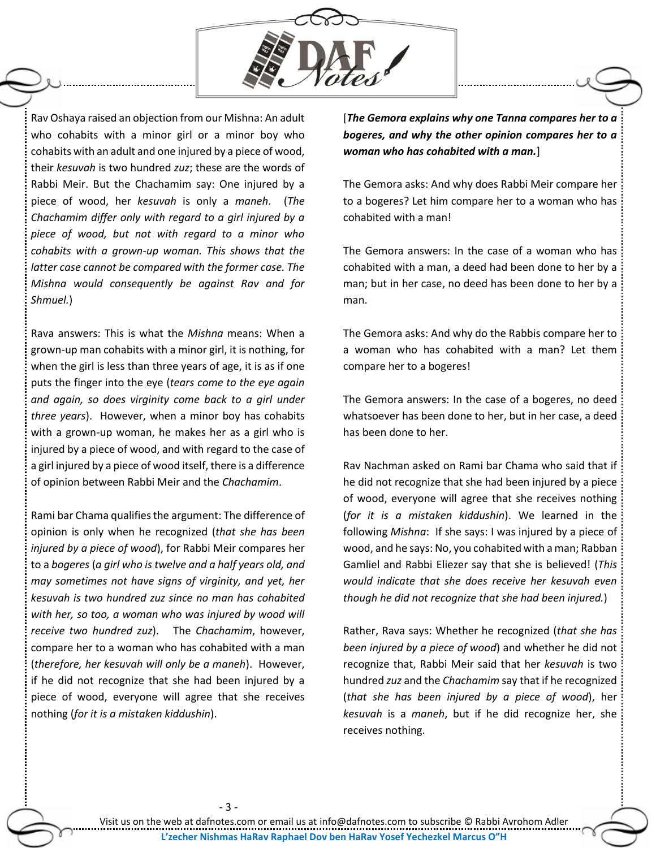

Rav Oshaya raised an objection from our Mishna: An adult who cohabits with a minor girl or a minor boy who cohabits with an adult and one injured by a piece of wood, their *kesuvah* is two hundred *zuz*; these are the words of Rabbi Meir. But the Chachamim say: One injured by a piece of wood, her *kesuvah* is only a *maneh*. (*The Chachamim differ only with regard to a girl injured by a piece of wood, but not with regard to a minor who cohabits with a grown-up woman. This shows that the latter case cannot be compared with the former case. The Mishna would consequently be against Rav and for Shmuel.*)

Rava answers: This is what the *Mishna* means: When a grown-up man cohabits with a minor girl, it is nothing, for when the girl is less than three years of age, it is as if one puts the finger into the eye (*tears come to the eye again and again, so does virginity come back to a girl under three years*). However, when a minor boy has cohabits with a grown-up woman, he makes her as a girl who is injured by a piece of wood, and with regard to the case of a girl injured by a piece of wood itself, there is a difference of opinion between Rabbi Meir and the *Chachamim*.

Rami bar Chama qualifies the argument: The difference of opinion is only when he recognized (*that she has been injured by a piece of wood*), for Rabbi Meir compares her to a *bogeres* (*a girl who is twelve and a half years old, and may sometimes not have signs of virginity, and yet, her kesuvah is two hundred zuz since no man has cohabited with her, so too, a woman who was injured by wood will receive two hundred zuz*). The *Chachamim*, however, compare her to a woman who has cohabited with a man (*therefore, her kesuvah will only be a maneh*). However, if he did not recognize that she had been injured by a piece of wood, everyone will agree that she receives nothing (*for it is a mistaken kiddushin*).

[*The Gemora explains why one Tanna compares her to a bogeres, and why the other opinion compares her to a woman who has cohabited with a man.*]

The Gemora asks: And why does Rabbi Meir compare her to a bogeres? Let him compare her to a woman who has cohabited with a man!

The Gemora answers: In the case of a woman who has cohabited with a man, a deed had been done to her by a man; but in her case, no deed has been done to her by a man.

The Gemora asks: And why do the Rabbis compare her to a woman who has cohabited with a man? Let them compare her to a bogeres!

The Gemora answers: In the case of a bogeres, no deed whatsoever has been done to her, but in her case, a deed has been done to her.

Rav Nachman asked on Rami bar Chama who said that if he did not recognize that she had been injured by a piece of wood, everyone will agree that she receives nothing (*for it is a mistaken kiddushin*). We learned in the following *Mishna*: If she says: I was injured by a piece of wood, and he says: No, you cohabited with a man; Rabban Gamliel and Rabbi Eliezer say that she is believed! (*This would indicate that she does receive her kesuvah even though he did not recognize that she had been injured.*)

Rather, Rava says: Whether he recognized (*that she has been injured by a piece of wood*) and whether he did not recognize that, Rabbi Meir said that her *kesuvah* is two hundred *zuz* and the *Chachamim* say that if he recognized (*that she has been injured by a piece of wood*), her *kesuvah* is a *maneh*, but if he did recognize her, she receives nothing.